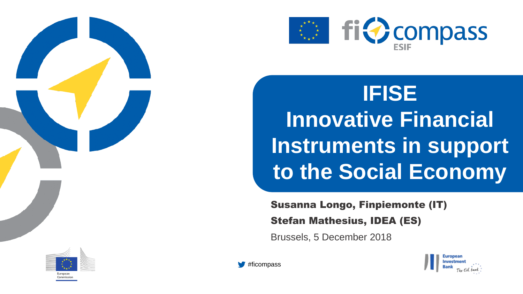

**IFISE Innovative Financial Instruments in support to the Social Economy**

Susanna Longo, Finpiemonte (IT)

Stefan Mathesius, IDEA (ES)

Brussels, 5 December 2018





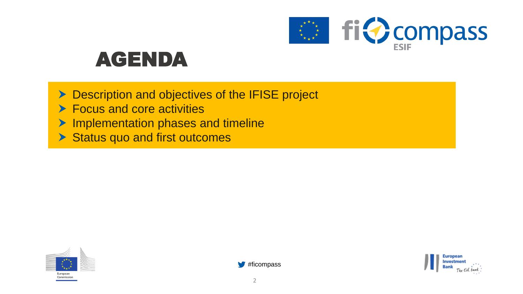

## AGENDA

**Description and objectives of the IFISE project** ▶ Focus and core activities **Implementation phases and timeline** Status quo and first outcomes





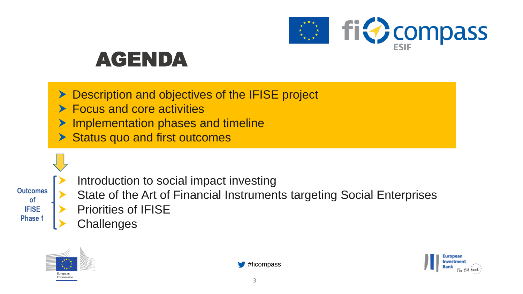

## AGENDA

- Description and objectives of the IFISE project
- ▶ Focus and core activities
- Implementation phases and timeline
- Status quo and first outcomes

**Outcomes of IFISE Phase 1**

- Introduction to social impact investing
- State of the Art of Financial Instruments targeting Social Enterprises
- Priorities of IFISE
- **Challenges**





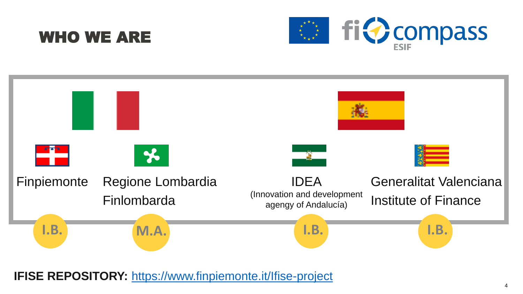### WHO WE ARE





**IFISE REPOSITORY:** <https://www.finpiemonte.it/Ifise-project>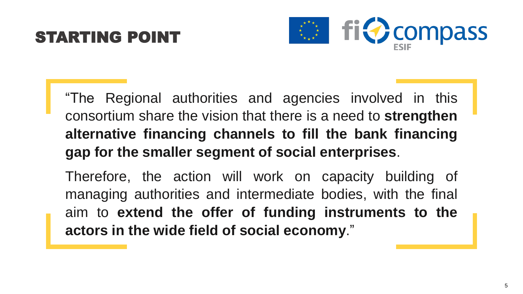## STARTING POINT



"The Regional authorities and agencies involved in this consortium share the vision that there is a need to **strengthen alternative financing channels to fill the bank financing gap for the smaller segment of social enterprises**.

Therefore, the action will work on capacity building of managing authorities and intermediate bodies, with the final aim to **extend the offer of funding instruments to the actors in the wide field of social economy**."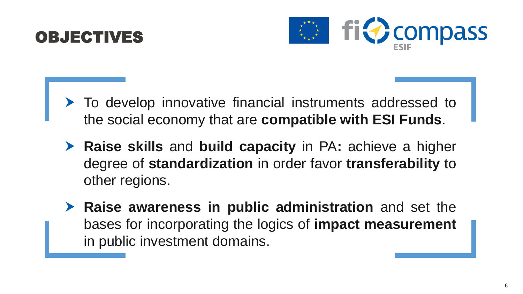



- ▶ To develop innovative financial instruments addressed to the social economy that are **compatible with ESI Funds**.
- **Raise skills** and **build capacity** in PA**:** achieve a higher degree of **standardization** in order favor **transferability** to other regions.
- **Raise awareness in public administration** and set the bases for incorporating the logics of **impact measurement** in public investment domains.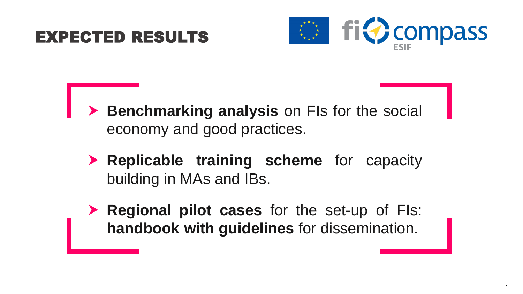#### EXPECTED RESULTS



- **Benchmarking analysis** on FIs for the social economy and good practices.
	- **Replicable training scheme** for capacity building in MAs and IBs.
	- **Regional pilot cases** for the set-up of FIs: **handbook with guidelines** for dissemination.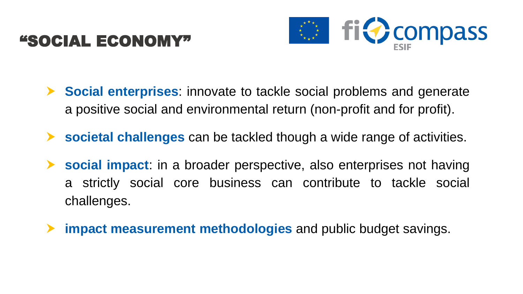### "SOCIAL ECONOMY"



- **Social enterprises**: innovate to tackle social problems and generate a positive social and environmental return (non-profit and for profit).
- **societal challenges** can be tackled though a wide range of activities.
- **social impact**: in a broader perspective, also enterprises not having a strictly social core business can contribute to tackle social challenges.
- **impact measurement methodologies** and public budget savings.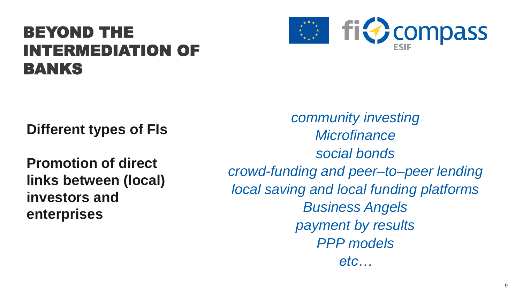## BEYOND THE INTERMEDIATION OF BANKS



**Different types of FIs**

**Promotion of direct links between (local) investors and enterprises**

*community investing Microfinance social bonds crowd-funding and peer–to–peer lending local saving and local funding platforms Business Angels payment by results PPP models etc…*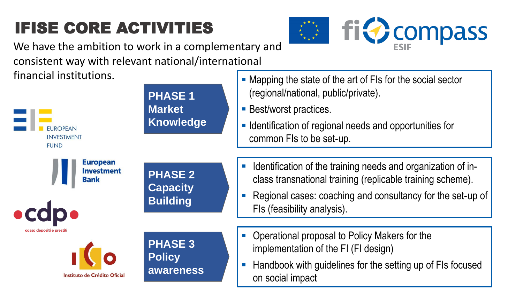## IFISE CORE ACTIVITIES



We have the ambition to work in a complementary and consistent way with relevant national/international financial institutions.

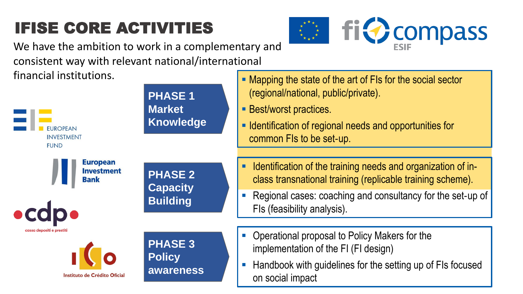## IFISE CORE ACTIVITIES



We have the ambition to work in a complementary and consistent way with relevant national/international financial institutions.

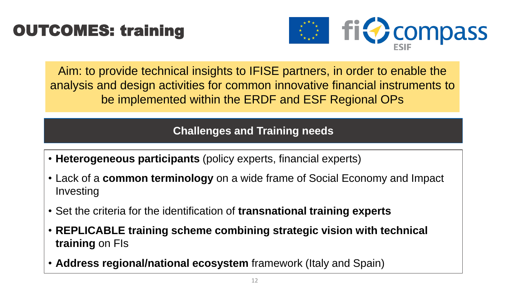## OUTCOMES: training



Aim: to provide technical insights to IFISE partners, in order to enable the analysis and design activities for common innovative financial instruments to be implemented within the ERDF and ESF Regional OPs

**Challenges and Training needs**

- **Heterogeneous participants** (policy experts, financial experts)
- Lack of a **common terminology** on a wide frame of Social Economy and Impact Investing
- Set the criteria for the identification of **transnational training experts**
- **REPLICABLE training scheme combining strategic vision with technical training** on FIs
- Address regional/national ecosystem framework (Italy and Spain)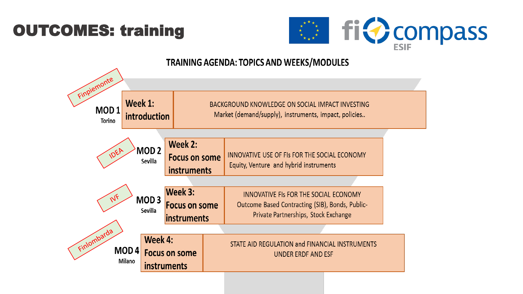## OUTCOMES: training



#### **TRAINING AGENDA: TOPICS AND WEEKS/MODULES**

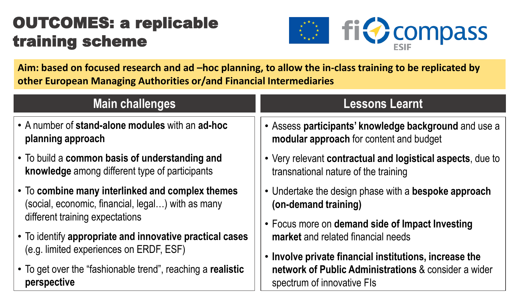## OUTCOMES: a replicable training scheme



**Aim: based on focused research and ad –hoc planning, to allow the in-class training to be replicated by other European Managing Authorities or/and Financial Intermediaries**

| <b>Main challenges</b>                                      | <b>Lessons Learnt</b>                                      |
|-------------------------------------------------------------|------------------------------------------------------------|
| • A number of stand-alone modules with an ad-hoc            | • Assess participants' knowledge background and use a      |
| planning approach                                           | modular approach for content and budget                    |
| • To build a common basis of understanding and              | • Very relevant contractual and logistical aspects, due to |
| knowledge among different type of participants              | transnational nature of the training                       |
| • To combine many interlinked and complex themes            | • Undertake the design phase with a bespoke approach       |
| (social, economic, financial, legal) with as many           | (on-demand training)                                       |
| different training expectations                             | • Focus more on demand side of Impact Investing            |
| • To identify appropriate and innovative practical cases    | market and related financial needs                         |
| (e.g. limited experiences on ERDF, ESF)                     | • Involve private financial institutions, increase the     |
| • To get over the "fashionable trend", reaching a realistic | network of Public Administrations & consider a wider       |
| perspective                                                 | spectrum of innovative FIs                                 |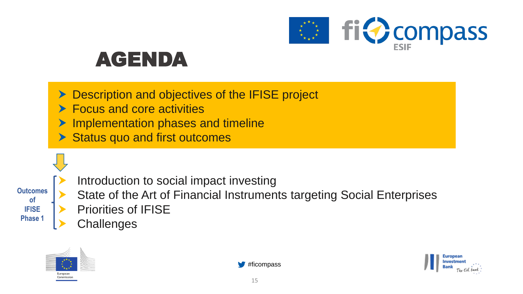

## AGENDA

- Description and objectives of the IFISE project
- ▶ Focus and core activities
- Implementation phases and timeline
- Status quo and first outcomes

**Outcomes of IFISE Phase 1**

- Introduction to social impact investing
- State of the Art of Financial Instruments targeting Social Enterprises
- Priorities of IFISE
- **Challenges**





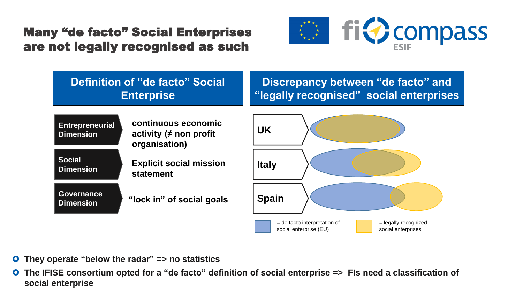#### Many "de facto" Social Enterprises are not legally recognised as such





- **They operate "below the radar" => no statistics**
- **O** The IFISE consortium opted for a "de facto" definition of social enterprise => FIs need a classification of **social enterprise**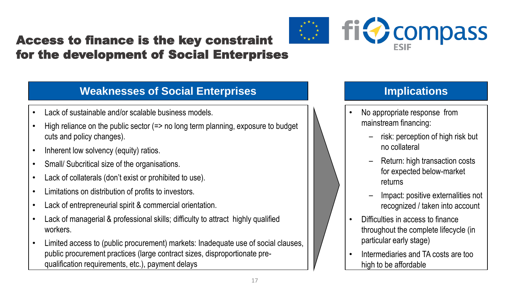#### Access to finance is the key constraint for the development of Social Enterprises

#### **Weaknesses of Social Enterprises Implications**

- Lack of sustainable and/or scalable business models.
- High reliance on the public sector (=> no long term planning, exposure to budget cuts and policy changes).
- Inherent low solvency (equity) ratios.
- Small/ Subcritical size of the organisations.
- Lack of collaterals (don't exist or prohibited to use).
- Limitations on distribution of profits to investors.
- Lack of entrepreneurial spirit & commercial orientation.
- Lack of managerial & professional skills; difficulty to attract highly qualified workers.
- Limited access to (public procurement) markets: Inadequate use of social clauses, public procurement practices (large contract sizes, disproportionate prequalification requirements, etc.), payment delays

- Difficulties in access to finance throughout the complete lifecycle (in particular early stage)
- Intermediaries and TA costs are too high to be affordable



- No appropriate response from mainstream financing:
	- risk: perception of high risk but no collateral
	- ‒ Return: high transaction costs for expected below-market returns

‒ Impact: positive externalities not recognized / taken into account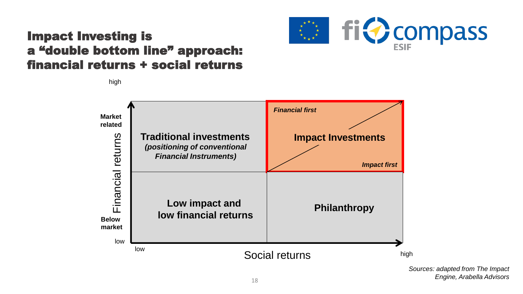

#### Impact Investing is a "double bottom line" approach: financial returns + social returns

high



*Sources: adapted from The Impact Engine, Arabella Advisors*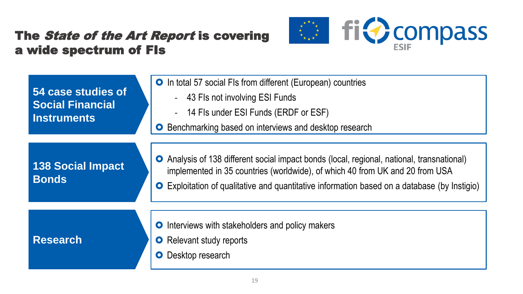#### The State of the Art Report is covering a wide spectrum of FIs



| 54 case studies of<br><b>Social Financial</b><br><b>Instruments</b> | <b>O</b> In total 57 social FIs from different (European) countries<br>43 Fls not involving ESI Funds<br>14 Fls under ESI Funds (ERDF or ESF)<br>Benchmarking based on interviews and desktop research<br>$\bullet$                                                        |
|---------------------------------------------------------------------|----------------------------------------------------------------------------------------------------------------------------------------------------------------------------------------------------------------------------------------------------------------------------|
| <b>138 Social Impact</b><br><b>Bonds</b>                            | • Analysis of 138 different social impact bonds (local, regional, national, transnational)<br>implemented in 35 countries (worldwide), of which 40 from UK and 20 from USA<br>• Exploitation of qualitative and quantitative information based on a database (by Instigio) |
| <b>Research</b>                                                     | <b>O</b> Interviews with stakeholders and policy makers<br>Relevant study reports<br>$\bullet$<br>Desktop research<br>$\bullet$                                                                                                                                            |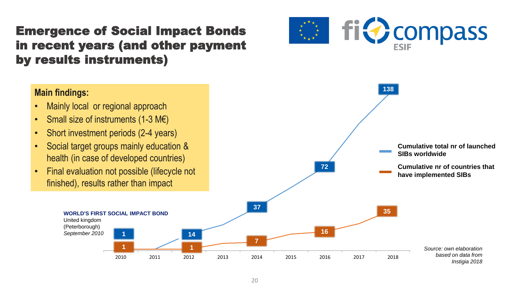#### Emergence of Social Impact Bonds in recent years (and other payment by results instruments)

#### **Main findings:**

- Mainly local or regional approach
- Small size of instruments  $(1-3 \text{ M}\epsilon)$

United kingdom (Peterborough) *September 2010*

- Short investment periods (2-4 years)
- Social target groups mainly education & health (in case of developed countries)
- Final evaluation not possible (lifecycle not finished), results rather than impact

**1**



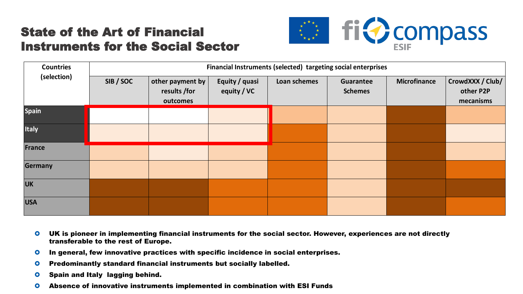#### State of the Art of Financial Instruments for the Social Sector



| <b>Countries</b> | Financial Instruments (selected) targeting social enterprises |                                              |                               |              |                             |                     |                                            |  |
|------------------|---------------------------------------------------------------|----------------------------------------------|-------------------------------|--------------|-----------------------------|---------------------|--------------------------------------------|--|
| (selection)      | SIB / SOC                                                     | other payment by<br>results /for<br>outcomes | Equity / quasi<br>equity / VC | Loan schemes | Guarantee<br><b>Schemes</b> | <b>Microfinance</b> | CrowdXXX / Club/<br>other P2P<br>mecanisms |  |
| <b>Spain</b>     |                                                               |                                              |                               |              |                             |                     |                                            |  |
| <b>Italy</b>     |                                                               |                                              |                               |              |                             |                     |                                            |  |
| France           |                                                               |                                              |                               |              |                             |                     |                                            |  |
| <b>Germany</b>   |                                                               |                                              |                               |              |                             |                     |                                            |  |
| <b>UK</b>        |                                                               |                                              |                               |              |                             |                     |                                            |  |
| <b>USA</b>       |                                                               |                                              |                               |              |                             |                     |                                            |  |

- <u>other is nioneer in implementing financial instruments for the social sector. However, experiences are not directl</u>  $\sigma$  and not and **O** UK is pioneer in implementing financial instruments for the social sector. However, experiences are not directly **Six is prenser in imprementing inter-**<br>transferable to the rest of Europe. de countries: Finland, Belgium, Denmark, Belgium, Denmark, Belgium, Denmark, Belgium, Denmark, Belgium, Denmark, B
	- O In general, few innovative practices with specific incidence in social enterprises.
	- **O** Predominantly standard financial instruments but socially labelled.
	- **O** Spain and Italy lagging behind.
	- 21 Absence of innovative instruments implemented in combination with ESI Funds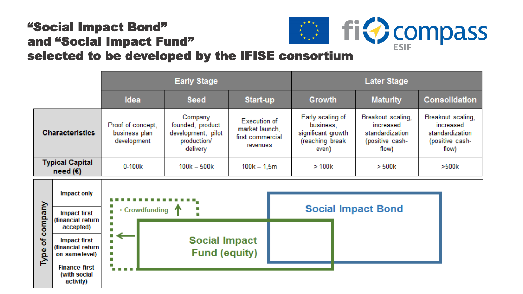#### "Social Impact Bond" and "Social Impact Fund" "Social Impact Bond"<br>and "Social Impact Fund"<br>selected to be developed by the IFISE consortium

 $\tilde{\mathsf{R}}$ 

**Finance first** (with social activity)

|                                                                             |                                                                         |                                                                              | <b>Early Stage</b>                                                    |                                                                                 |                                                                               | <b>Later Stage</b>                                                            |                      |  |  |
|-----------------------------------------------------------------------------|-------------------------------------------------------------------------|------------------------------------------------------------------------------|-----------------------------------------------------------------------|---------------------------------------------------------------------------------|-------------------------------------------------------------------------------|-------------------------------------------------------------------------------|----------------------|--|--|
|                                                                             |                                                                         | Idea                                                                         | <b>Seed</b>                                                           | Start-up                                                                        | Growth                                                                        | <b>Maturity</b>                                                               | <b>Consolidation</b> |  |  |
| Proof of concept,<br><b>Characteristics</b><br>business plan<br>development |                                                                         | Company<br>founded, product<br>development, pilot<br>production/<br>delivery | <b>Execution of</b><br>market launch,<br>first commercial<br>revenues | Early scaling of<br>business,<br>significant growth<br>(reaching break<br>even) | Breakout scaling,<br>increased<br>standardization<br>(positive cash-<br>flow) | Breakout scaling,<br>increased<br>standardization<br>(positive cash-<br>flow) |                      |  |  |
|                                                                             | <b>Typical Capital</b><br>$0 - 100k$<br>need $(\epsilon)$               |                                                                              | $100k - 500k$                                                         | $100k - 1,5m$                                                                   | >100k                                                                         | >500k                                                                         | >500k                |  |  |
| company                                                                     | <b>Impact only</b><br><b>Impact first</b><br>(financial return          | + Crowdfunding<br>н                                                          |                                                                       |                                                                                 |                                                                               | <b>Social Impact Bond</b>                                                     |                      |  |  |
| ៉ិច<br>စ္တိ                                                                 | accepted)<br><b>Impact first</b><br>(financial return<br>on same level) | т                                                                            | <b>Social Impact</b><br><b>Fund (equity)</b>                          |                                                                                 |                                                                               |                                                                               |                      |  |  |

#ficompass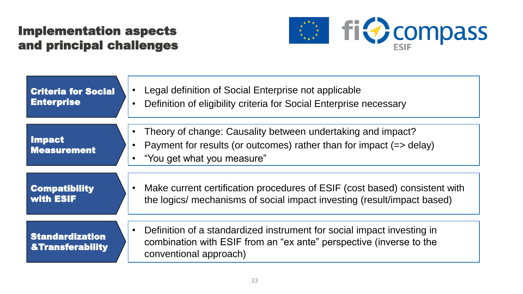#### Implementation aspects and principal challenges



| <b>Criteria for Social</b>                            | Legal definition of Social Enterprise not applicable                                                                                                                    |
|-------------------------------------------------------|-------------------------------------------------------------------------------------------------------------------------------------------------------------------------|
| <b>Enterprise</b>                                     | Definition of eligibility criteria for Social Enterprise necessary                                                                                                      |
| <b>Impact</b><br><b>Measurement</b>                   | Theory of change: Causality between undertaking and impact?<br>Payment for results (or outcomes) rather than for impact $(=$ delay)<br>"You get what you measure"       |
| <b>Compatibility</b>                                  | Make current certification procedures of ESIF (cost based) consistent with                                                                                              |
| with ESIF                                             | the logics/ mechanisms of social impact investing (result/impact based)                                                                                                 |
| <b>Standardization</b><br><b>&amp;Transferability</b> | Definition of a standardized instrument for social impact investing in<br>combination with ESIF from an "ex ante" perspective (inverse to the<br>conventional approach) |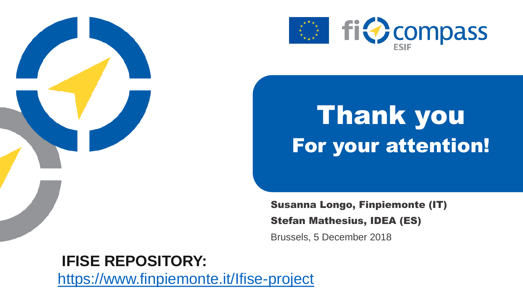

# **Inlank you Instrument Seart Seart Evalue Search For your attention!**

Susanna Longo, Finpiemonte (IT) Stefan Mathesius, IDEA (ES) Brussels, 5 December 2018

#### **IFISE REPOSITORY:**

<https://www.finpiemonte.it/Ifise-project>